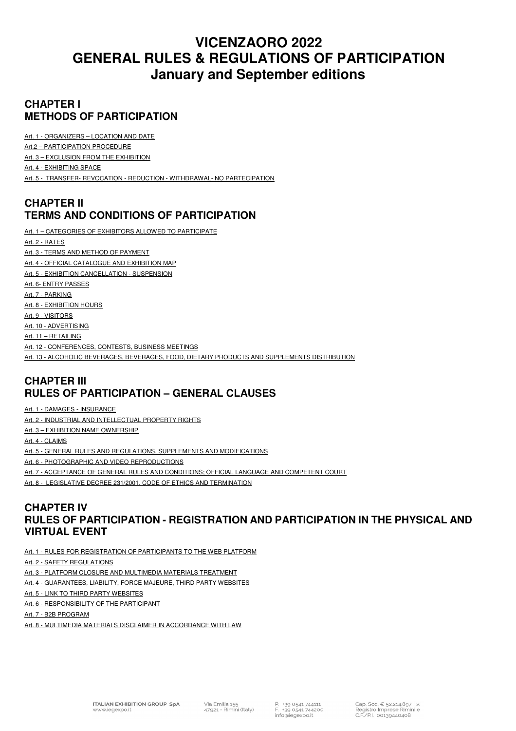# **VICENZAORO 2022 GENERAL RULES & REGULATIONS OF PARTICIPATION January and September editions**

## **CHAPTER I METHODS OF PARTICIPATION**

Art. 1 - ORGANIZERS – LOCATION AND DATE

Art.2 – PARTICIPATION PROCEDURE

Art. 3 – EXCLUSION FROM THE EXHIBITION

Art. 4 - EXHIBITING SPACE

Art. 5 - TRANSFER- REVOCATION - REDUCTION - WITHDRAWAL- NO PARTECIPATION

## **CHAPTER II TERMS AND CONDITIONS OF PARTICIPATION**

Art. 1 - CATEGORIES OF EXHIBITORS ALLOWED TO PARTICIPATE

Art. 2 - RATES Art. 3 - TERMS AND METHOD OF PAYMENT Art. 4 - OFFICIAL CATALOGUE AND EXHIBITION MAP Art. 5 - EXHIBITION CANCELLATION - SUSPENSION Art. 6- ENTRY PASSES Art. 7 - PARKING Art. 8 - EXHIBITION HOURS Art. 9 - VISITORS Art. 10 - ADVERTISING Art. 11 – RETAILING Art. 12 - CONFERENCES, CONTESTS, BUSINESS MEETINGS Art. 13 - ALCOHOLIC BEVERAGES, BEVERAGES, FOOD, DIETARY PRODUCTS AND SUPPLEMENTS DISTRIBUTION

## **CHAPTER III RULES OF PARTICIPATION – GENERAL CLAUSES**

Art. 1 - DAMAGES - INSURANCE

Art. 2 - INDUSTRIAL AND INTELLECTUAL PROPERTY RIGHTS

Art. 3 - EXHIBITION NAME OWNERSHIP

Art. 4 - CLAIMS

Art. 5 - GENERAL RULES AND REGULATIONS, SUPPLEMENTS AND MODIFICATIONS

Art. 6 - PHOTOGRAPHIC AND VIDEO REPRODUCTIONS

Art. 7 - ACCEPTANCE OF GENERAL RULES AND CONDITIONS; OFFICIAL LANGUAGE AND COMPETENT COURT

Art. 8 - LEGISLATIVE DECREE 231/2001, CODE OF ETHICS AND TERMINATION

## **CHAPTER IV RULES OF PARTICIPATION - REGISTRATION AND PARTICIPATION IN THE PHYSICAL AND VIRTUAL EVENT**

Art. 1 - RULES FOR REGISTRATION OF PARTICIPANTS TO THE WEB PLATFORM

Art. 2 - SAFETY REGULATIONS

Art. 3 - PLATFORM CLOSURE AND MULTIMEDIA MATERIALS TREATMENT

Art. 4 - GUARANTEES, LIABILITY, FORCE MAJEURE, THIRD PARTY WEBSITES

Art. 5 - LINK TO THIRD PARTY WEBSITES

Art. 6 - RESPONSIBILITY OF THE PARTICIPANT

Art. 7 - B2B PROGRAM

Art. 8 - MULTIMEDIA MATERIALS DISCLAIMER IN ACCORDANCE WITH LAW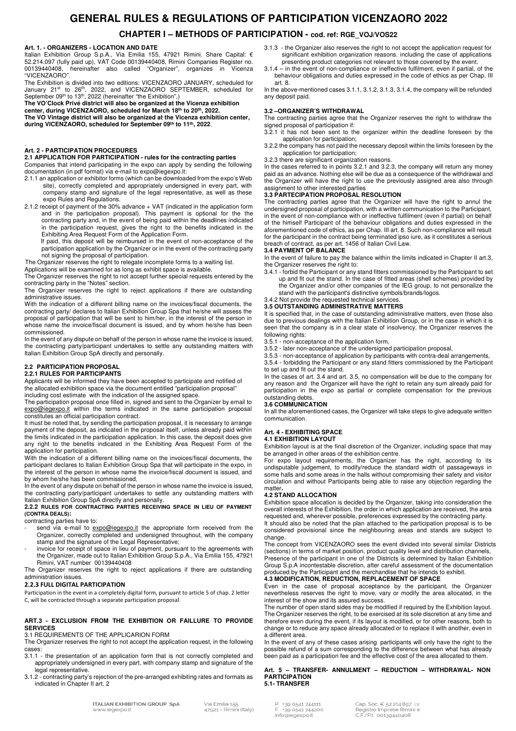## **GENERAL RULES & REGULATIONS OF PARTICIPATION VICENZAORO 2022**

## **CHAPTER I – METHODS OF PARTICIPATION - cod. ref: RGE\_VOJ/VOS22**

#### **Art. 1. - ORGANIZERS - LOCATION AND DATE**

Italian Exhibition Group S.p.A., Via Emilia 155, 47921 Rimini. Share Capital: € 52.214.097 (fully paid up), VAT Code 00139440408, Rimini Companies Register no. 00139440408, hereinafter also called "Organizer", organizes in Vicenza "VICENZAORO".

The Exhibition is divided into two editions: VICENZAORO JANUARY, scheduled for January 21<sup>st</sup> to 26<sup>th</sup>, 2022, and VICENZAORO SEPTEMBER, scheduled for

September 09<sup>th</sup> to 13<sup>th</sup>, 2022 (hereinafter "the Exhibition",)<br>**The VO'Clock Privé district will also be organized at the Vicenza exhibition** 

**center, during VICENZAORO, scheduled for March 18th to 20th, 2022. The VO Vintage district will also be organized at the Vicenza exhibition center,** 

**during VICENZAORO, scheduled for September 09th to 11th, 2022**.

## . **Art. 2 - PARTICIPATION PROCEDURES**

**2.1 APPLICATION FOR PARTICIPATION - rules for the contracting parties** 

Companies that intend participating in the expo can apply by sending the following documentation (in pdf format) via e-mail to expo@iegexpo.it:

- 2.1.1 an application or exhibitor forms (which can be downloaded from the expo's Web site), correctly completed and appropriately undersigned in every part, with company stamp and signature of the legal representative, as well as these expo Rules and Regulations.
- 2.1.2 receipt of payment of the 30% advance + VAT (indicated in the application form and in the participation proposal). This payment is optional for the the contracting party and, in the event of being paid within the deadlines indicated in the participation request, gives the right to the benefits indicated in the Exhibiting Area Request Form of the Application Form.

If paid, this deposit will be reimbursed in the event of non-acceptance of the participation application by the Organizer or in the event of the contracting party not signing the proposal of participation.

The Organizer reserves the right to relegate incomplete forms to a waiting list.

Applications will be examined for as long as exhibit space is available.

The Organizer reserves the right to not accept further special requests entered by the contracting party in the "Notes" section.

The Organizer reserves the right to reject applications if there are outstanding administrative issues.

With the indication of a different billing name on the invoices/fiscal documents, the contracting party/ declares to Italian Exhibition Group Spa that he/she will assess the proposal of participation that will be sent to him/her, in the interest of the person in whose name the invoice/fiscal document is issued, and by whom he/she has been commissioned.

In the event of any dispute on behalf of the person in whose name the invoice is issued. the contracting party/participant undertakes to settle any outstanding matters with Italian Exhibition Group SpA directly and personally.

#### **2.2 PARTICIPATION PROPOSAL 2.2.1 RULES FOR PARTICIPANTS**

Applicants will be informed they have been accepted to participate and notified of the allocated exhibition space via the document entitled "participation proposal"

including cost estimate with the indication of the assigned space.

The participation proposal once filled in, signed and sent to the Organizer by email to expo@iegexpo.it within the terms indicated in the same participation proposal constitutes an official participation contract.

It must be noted that, by sending the participation proposal, it is necessary to arrange payment of the deposit, as indicated in the proposal itself, unless already paid within the limits indicated in the participation application. In this case, the deposit does give any right to the benefits indicated in the Exhibiting Area Request Form of the application for participation.

With the indication of a different billing name on the invoices/fiscal documents, the participant declares to Italian Exhibition Group Spa that will participate in the expo, in the interest of the person in whose name the invoice/fiscal document is issued, and by whom he/she has been commissioned.

In the event of any dispute on behalf of the person in whose name the invoice is issued, the contracting party/participant undertakes to settle any outstanding matters with Italian Exhibition Group SpA directly and personally.

**2.2.2 RULES FOR CONTRACTING PARTIES RECEIVING SPACE IN LIEU OF PAYMENT (CONTRA DEALS):** 

contracting parties have to:

- send via e-mail to expo@iegexpo.it the appropriate form received from the Organizer, correctly completed and undersigned throughout, with the company stamp and the signature of the Legal Representative;
- invoice for receipt of space in lieu of payment, pursuant to the agreements with the Organizer, made out to Italian Exhibition Group S.p.A., Via Emilia 155, 47921 Rimini, VAT number 00139440408

The Organizer reserves the right to reject applications if there are outstanding administration issues.

#### 2.2.3 FULL DIGITAL PARTICIPATION

Participation in the event in a completely digital form, pursuant to article 5 of chap. 2 letter C, will be contracted through a separate participation proposal.

#### **ART.3 - EXCLUSION FROM THE EXHIBITION OR FAILLURE TO PROVIDE SERVICES**

### 3.1 REQUIREMENTS OF THE APPLICARION FORM

The Organizer reserves the right to not accept the application request, in the following cases:

- 3.1.1 the presentation of an application form that is not correctly completed and appropriately undersigned in every part, with company stamp and signature of the legal representative.
- 3.1.2 contracting party's rejection of the pre-arranged exhibiting rates and formats as indicated in Chapter II art. 2
- 3.1.3 the Organizer also reserves the right to not accept the application request for significant exhibition organization reasons. including the case of applications presenting product categories not relevant to those covered by the event.
- 3.1.4 in the event of non-compliance or ineffective fulfilment, even if partial, of the behaviour obligations and duties expressed in the code of ethics as per Chap. III art. 8.

In the above-mentioned cases 3.1.1, 3.1.2, 3.1.3, 3.1.4, the company will be refunded any deposit paid.

#### **3.2 –ORGANIZER'S WITHDRAWAL**

The contracting parties agree that the Organizer reserves the right to withdraw the signed proposal of participation if:

3.2.1 it has not been sent to the organizer within the deadline foreseen by the application for participation;

3.2.2 the company has not paid the necessary deposit within the limits foreseen by the application for participation;

3.2.3 there are significant organization reasons.

In the cases referred to in points 3.2.1 and 3.2.3, the company will return any money paid as an advance. Nothing else will be due as a consequence of the withdrawal and the Organizer will have the right to use the previously assigned area also through assignment to other interested parties

#### **3.3 PARTECIPATION PROPOSAL RESOLUTION**

The contracting parties agree that the Organizer will have the right to annul the undersigned proposal of participation, with a written communication to the Participant, in the event of non-compliance with or ineffective fulfilment (even if partial) on behalf of the himself Participant of the behaviour obligations and duties expressed in the aforementioned code of ethics, as per Chap. III art. 8. Such non-compliance will result for the participant in the contract being terminated ipso iure, as it constitutes a serious breach of contract, as per art. 1456 of Italian Civil Law. **3.4 PAYMENT OF BALANCE** 

In the event of failure to pay the balance within the limits indicated in Chapter II art.3, the Organizer reserves the right to:

3.4.1 - forbid the Participant or any stand fitters commissioned by the Participant to set up and fit out the stand. In the case of fitted areas (shell schemes) provided by the Organizer and/or other companies of the IEG group, to not personalize the stand with the participant's distinctive symbols/brands/logos.

#### 3.4.2 Not provide the requested technical services.

#### **3.5 OUTSTANDING ADMINISTRATIVE MATTERS**

It is specified that, in the case of outstanding administrative matters, even those also due to previous dealings with the Italian Exhibition Group, or in the case in which it is seen that the company is in a clear state of insolvency, the Organizer reserves the following rights:

- 3.5.1 non-acceptance of the application form,
- 3.5.2 later non-acceptance of the undersigned participation proposal,

3.5.3 - non-acceptance of application by participants with contra-deal arrangements, 3.5.4 - forbidding the Participant or any stand fitters commissioned by the Participant to set up and fit out the stand.

In the cases of art. 3.4 and art. 3.5, no compensation will be due to the company for any reason and the Organizer will have the right to retain any sum already paid for participation in the expo as partial or complete compensation for the previous outstanding debts.

#### **3.6 COMMUNICATION**

In all the aforementioned cases, the Organizer will take steps to give adequate written communication.

#### **Art. 4 - EXHIBITING SPACE 4.1 EXHIBITION LAYOUT**

#### Exhibition layout is at the final discretion of the Organizer, including space that may be arranged in other areas of the exhibition centre.

For expo layout requirements, the Organizer has the right, according to its undisputable judgement, to modify/reduce the standard width of passageways in some halls and some areas in the halls without compromising their safety and visitor circulation and without Participants being able to raise any objection regarding the matter**.**

#### **4.2 STAND ALLOCATION**

Exhibition space allocation is decided by the Organizer, taking into consideration the overall interests of the Exhibition, the order in which application are received, the area requested and, wherever possible, preferences expressed by the contracting party. It should also be noted that the plan attached to the participation proposal is to be considered provisional since the neighbouring areas and stands are subject to change.

The concept from VICENZAORO sees the event divided into several similar Districts (sections) in terms of market position, product quality level and distribution channels, Presence of the participant in one of the Districts is determined by Italian Exhibition Group S.p.A incontestable discretion, after careful assessment of the documentation

## produced by the Participant and the merchandise that he intends to exhibit. **4.3 MODIFICATION, REDUCTION, REPLACEMENT OF SPACE**

Even in the case of proposal acceptance by the participant, the Organizer nevertheless reserves the right to move, vary or modify the area allocated, in the interest of the show and its assured success.

The number of open stand sides may be modified if required by the Exhibition layout. The Organizer reserves the right, to be exercised at its sole discretion at any time and therefore even during the event, if its layout is modified, or for other reasons, both to change or to reduce any space already allocated or to replace it with another, even in a different area.

In the event of any of these cases arising participants will only have the right to the possible refund of a sum corresponding to the difference between what has already been paid as a participation fee and the effective cost of the area allocated to them.

#### **Art. 5 – TRANSFER- ANNULMENT – REDUCTION – WITHDRAWAL- NON PARTICIPATION 5.1- TRANSFER**

**ITALIAN EXHIBITION GROUP SpA** www.iegexpo.it

+39 0541 744111 +39 0541 744200 info@iegexpo.it

Cap. Soc. € 52.214.897 i.v. Registro Imprese Rimini e C.F./P.I. 00139440408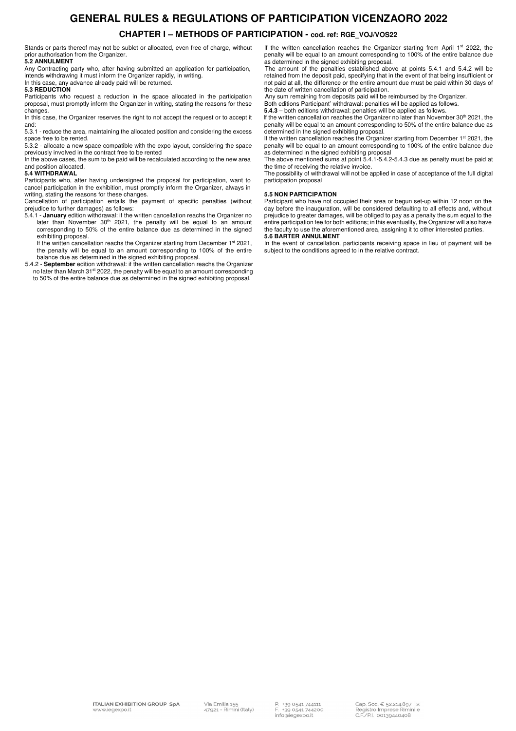# **GENERAL RULES & REGULATIONS OF PARTICIPATION VICENZAORO 2022**

## **CHAPTER I – METHODS OF PARTICIPATION - cod. ref: RGE\_VOJ/VOS22**

Stands or parts thereof may not be sublet or allocated, even free of charge, without prior authorisation from the Organizer. **5.2 ANNULMENT** 

Any Contracting party who, after having submitted an application for participation, intends withdrawing it must inform the Organizer rapidly, in writing. In this case, any advance already paid will be returned.

#### **5.3 REDUCTION**

Participants who request a reduction in the space allocated in the participation proposal, must promptly inform the Organizer in writing, stating the reasons for these changes.

In this case, the Organizer reserves the right to not accept the request or to accept it and:

5.3.1 - reduce the area, maintaining the allocated position and considering the excess space free to be rented.

5.3.2 - allocate a new space compatible with the expo layout, considering the space previously involved in the contract free to be rented

In the above cases, the sum to be paid will be recalculated according to the new area and position allocated.

#### **5.4 WITHDRAWAL**

Participants who, after having undersigned the proposal for participation, want to cancel participation in the exhibition, must promptly inform the Organizer, always in writing, stating the reasons for these changes.

Cancellation of participation entails the payment of specific penalties (without

prejudice to further damages) as follows: 5.4.1 - **January** edition withdrawal: if the written cancellation reachs the Organizer no later than November 30<sup>th</sup> 2021, the penalty will be equal to an amount corresponding to 50% of the entire balance due as determined in the signed exhibiting proposal.

If the written cancellation reachs the Organizer starting from December 1<sup>st</sup> 2021, the penalty will be equal to an amount corresponding to 100% of the entire

balance due as determined in the signed exhibiting proposal. 5.4.2 - **September** edition withdrawal: if the written cancellation reachs the Organizer no later than March 31<sup>st</sup> 2022, the penalty will be equal to an amount corresponding to 50% of the entire balance due as determined in the signed exhibiting proposal.

If the written cancellation reaches the Organizer starting from April 1st 2022, the penalty will be equal to an amount corresponding to 100% of the entire balance due as determined in the signed exhibiting proposal.

The amount of the penalties established above at points 5.4.1 and 5.4.2 will be retained from the deposit paid, specifying that in the event of that being insufficient or not paid at all, the difference or the entire amount due must be paid within 30 days of the date of written cancellation of participation.

Any sum remaining from deposits paid will be reimbursed by the Organizer.

Both editions Participant' withdrawal: penalties will be applied as follows. **5.4.3** – both editions withdrawal: penalties will be applied as follows.

If the written cancellation reaches the Organizer no later than November 30<sup>th</sup> 2021, the penalty will be equal to an amount corresponding to 50% of the entire balance due as determined in the signed exhibiting proposal.

If the written cancellation reaches the Organizer starting from December 1<sup>st</sup> 2021, the penalty will be equal to an amount corresponding to 100% of the entire balance due as determined in the signed exhibiting proposal

The above mentioned sums at point 5.4.1-5.4.2-5.4.3 due as penalty must be paid at the time of receiving the relative invoice.

The possibility of withdrawal will not be applied in case of acceptance of the full digital participation proposal

#### **5.5 NON PARTICIPATION**

Participant who have not occupied their area or begun set-up within 12 noon on the day before the inauguration, will be considered defaulting to all effects and, without prejudice to greater damages, will be obliged to pay as a penalty the sum equal to the entire participation fee for both editions; in this eventuality, the Organizer will also have the faculty to use the aforementioned area, assigning it to other interested parties. **5.6 BARTER ANNULMENT** 

In the event of cancellation, participants receiving space in lieu of payment will be subject to the conditions agreed to in the relative contract.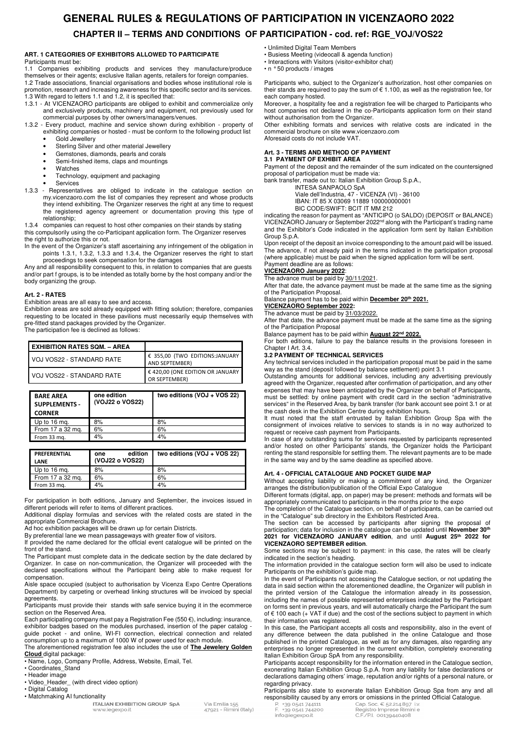## **GENERAL RULES & REGULATIONS OF PARTICIPATION IN VICENZAORO 2022 CHAPTER II – TERMS AND CONDITIONS OF PARTICIPATION - cod. ref: RGE\_VOJ/VOS22**

#### **ART. 1 CATEGORIES OF EXHIBITORS ALLOWED TO PARTICIPATE**  Participants must be:

1.1 Companies exhibiting products and services they manufacture/produce themselves or their agents; exclusive Italian agents, retailers for foreign companies. 1.2 Trade associations, financial organisations and bodies whose institutional role is promotion, research and increasing awareness for this specific sector and its services. 1.3 With regard to letters 1.1 and 1.2, it is specified that:

- 1.3.1 At VICENZAORO participants are obliged to exhibit and commercialize only and exclusively products, machinery and equipment, not previously used for commercial purposes by other owners/managers/venues.
- 1.3.2 Every product, machine and service shown during exhibition property of exhibiting companies or hosted - must be conform to the following product list
	- Gold Jewellery
	- Sterling Silver and other material Jewellery Gemstones, diamonds, pearls and corals
	- Semi-finished items, claps and mountings
	- **Watches**
	- Technology, equipment and packaging
	- **Services**
- 1.3.3 Representatives are obliged to indicate in the catalogue section on my.vicenzaoro.com the list of companies they represent and whose products they intend exhibiting. The Organizer reserves the right at any time to request the registered agency agreement or documentation proving this type of relationship;

1.3.4 companies can request to host other companies on their stands by stating this compulsorily using the co-Participant application form. The Organizer reserves the right to authorize this or not.

In the event of the Organizer's staff ascertaining any infringement of the obligation in points 1.3.1, 1.3.2, 1.3.3 and 1.3.4, the Organizer reserves the right to start proceedings to seek compensation for the damages

Any and all responsibility consequent to this, in relation to companies that are guests and/or part f groups, is to be intended as totally borne by the host company and/or the body organizing the group.

#### **Art. 2 - RATES**

Exhibition areas are all easy to see and access.

Exhibition areas are sold already equipped with fitting solution; therefore, companies requesting to be located in these pavilions must necessarily equip themselves with pre-fitted stand packages provided by the Organizer. The participation fee is declined as follows:

| <b>I EXHIBITION RATES SQM. – AREA</b> |                                                   |
|---------------------------------------|---------------------------------------------------|
| VOJ VOS22 - STANDARD RATE             | € 355,00 (TWO EDITIONS:JANUARY<br>AND SEPTEMBER)  |
| VOJ VOS22 - STANDARD RATE             | € 420,00 (ONE EDITION OR JANUARY<br>OR SEPTEMBER) |

| <b>BARE AREA</b><br><b>SUPPLEMENTS -</b><br><b>CORNER</b> | one edition<br>(VOJ22 o VOS22) | two editions (VOJ + VOS 22) |
|-----------------------------------------------------------|--------------------------------|-----------------------------|
| Up to 16 mg.                                              | 8%                             | 8%                          |
| From 17 a 32 mg.                                          | 6%                             | 6%                          |
| From 33 mg.                                               | 4%                             | 4%                          |

| <b>PREFERENTIAL</b><br>LANE | edition<br>one<br>(VOJ22 o VOS22) | two editions (VOJ + VOS 22) |
|-----------------------------|-----------------------------------|-----------------------------|
| Up to 16 ma.                | 8%                                | 8%                          |
| From 17 a 32 mg.            | 6%                                | 6%                          |
| From 33 mg.                 | 4%                                | 4%                          |

For participation in both editions, January and September, the invoices issued in different periods will refer to items of different practices.

Additional display formulas and services with the related costs are stated in the appropriate Commercial Brochure.

Ad hoc exhibition packages will be drawn up for certain Districts.

By preferential lane we mean passageways with greater flow of visitors.

If provided the name declared for the official event catalogue will be printed on the front of the stand.

The Participant must complete data in the dedicate section by the date declared by Organizer. In case on non-communication, the Organizer will proceeded with the declared specifications without the Participant being able to make request for compensation.

Aisle space occupied (subject to authorisation by Vicenza Expo Centre Operations Department) by carpeting or overhead linking structures will be invoiced by special agreements.

Participants must provide their stands with safe service buying it in the ecommerce section on the Reserved Area.

Each participating company must pay a Registration Fee (550 $\epsilon$ ), including: insurance, exhibitor badges based on the modules purchased, insertion of the paper catalog guide pocket - and online, WI-FI connection, electrical connection and related consumption up to a maximum of 1000 W of power used for each module.

The aforementioned registration fee also includes the use of **The Jewelery Golden Cloud** digital package:

- Name, Logo, Company Profile, Address, Website, Email, Tel.
- Coordinates\_Stand
- Header image
- Video Header (with direct video option) • Digital Catalog
- Matchmaking AI functionality

**ITALIAN EXHIBITION GROUP SpA** www.iegexpo.it

- Unlimited Digital Team Members
- Busiess Meeting (videocall & agenda function)
- Interactions with Visitors (visitor-exhibitor chat) • n ° 50 products / images
- 

Participants who, subject to the Organizer's authorization, host other companies on their stands are required to pay the sum of € 1.100, as well as the registration fee, for each company hosted.

Moreover, a hospitality fee and a registration fee will be charged to Participants who host companies not declared in the co-Participants application form on their stand without authorisation from the Organizer.

Other exhibiting formats and services with relative costs are indicated in the commercial brochure on site www.vicenzaoro.com Aforesaid costs do not include VAT.

#### **Art. 3 - TERMS AND METHOD OF PAYMENT 3.1 PAYMENT OF EXHIBIT AREA**

Payment of the deposit and the remainder of the sum indicated on the countersigned proposal of participation must be made via:

bank transfer, made out to: Italian Exhibition Group S.p.A.,

INTESA SANPAOLO SpA

Viale dell'Industria, 47 - VICENZA (VI) - 36100

IBAN: IT 85 X 03069 11889 100000000001 BIC CODE/SWIFT: BCIT IT MM 212

indicating the reason for payment as "ANTICIPO (o SALDO) (DEPOSIT or BALANCE) Indicating the reason for payment as well in the Victoria of Contract of the Participant's trading name and the Exhibitor's Code indicated in the application form sent by Italian Exhibition Group S.p.A.

Upon receipt of the deposit an invoice corresponding to the amount paid will be issued. The advance, if not already paid in the terms indicated in the participation proposal (where applicable) must be paid when the signed application form will be sent. Payment deadline are as follows:

## **VICENZAORO January 2022**:

The advance must be paid by 30/11/2021.

After that date, the advance payment must be made at the same time as the signing of the Participation Proposal.

Balance payment has to be paid within **December 20th 2021.**

#### **VICENZAORO September 2022:**

The advance must be paid by 31/03/2022.

After that date, the advance payment must be made at the same time as the signing of the Participation Proposal

Balance payment has to be paid within **August 22nd 2022.**

For both editions, failure to pay the balance results in the provisions foreseen in Chapter I Art. 3.4.

#### **3.2 PAYMENT OF TECHNICAL SERVICES**

Any technical services included in the participation proposal must be paid in the same way as the stand (deposit followed by balance settlement) point 3.1

Outstanding amounts for additional services, including any advertising previously agreed with the Organizer, requested after confirmation of participation, and any other expenses that may have been anticipated by the Organizer on behalf of Participants, must be settled: by online payment with credit card in the section "administrative services" in the Reserved Area, by bank transfer (for bank account see point 3.1 or at the cash desk in the Exhibition Centre during exhibition hours.

It must noted that the staff entrusted by Italian Exhibition Group Spa with the consignment of invoices relative to services to stands is in no way authorized to request or receive cash payment from Participants.

In case of any outstanding sums for services requested by participants represented and/or hosted on other Participants' stands, the Organizer holds the Participant renting the stand responsible for settling them. The relevant payments are to be made in the same way and by the same deadline as specified above.

#### **Art. 4 - OFFICIAL CATALOGUE AND POCKET GUIDE MAP**

Without accepting liability or making a commitment of any kind, the Organizer arranges the distribution/publication of the Official Expo Catalogue

Different formats (digital, app, on paper) may be present: methods and formats will be appropriately communicated to participants in the months prior to the expo

The completion of the Catalogue section, on behalf of participants, can be carried out in the "Catalogue" sub directory in the Exhibitors Restricted Area.

The section can be accessed by participants after signing the proposal of participation; data for inclusion in the catalogue can be updated until **November 30th 2021 for VICENZAORO JANUARY edition**, and until **August 25th 2022 for VICENZAORO SEPTEMBER edition**.

Some sections may be subject to payment: in this case, the rates will be clearly indicated in the section's heading.

The information provided in the catalogue section form will also be used to indicate Participants on the exhibition's guide map.

In the event of Participants not accessing the Catalogue section, or not updating the data in said section within the aforementioned deadline, the Organizer will publish in the printed version of the Catalogue the information already in its possession, including the names of possible represented enterprises indicated by the Participant on forms sent in previous years, and will automatically charge the Participant the sum of € 100 each (+ VAT if due) and the cost of the sections subject to payment in which their information was registered.

In this case, the Participant accepts all costs and responsibility, also in the event of any difference between the data published in the online Catalogue and those published in the printed Catalogue, as well as for any damages, also regarding any enterprises no longer represented in the current exhibition, completely exonerating Italian Exhibition Group SpA from any responsibility.

Participants accept responsibility for the information entered in the Catalogue section, exonerating Italian Exhibition Group S.p.A. from any liability for false declarations or declarations damaging others' image, reputation and/or rights of a personal nature, or regarding privacy.

Participants also state to exonerate Italian Exhibition Group Spa from any and all **responsibility caused by any errors or omissions in the printed Official Catalogue.**<br>
P.  $*39$  0541 744111<br>
F.  $*39$  0541 744200<br>
Registro Imprese Rimini e

info@iegexpo.it

Via Emilia 155 47921 - Rimini (Italy) Registro Imprese Rimini e C.F./P.I. 00139440408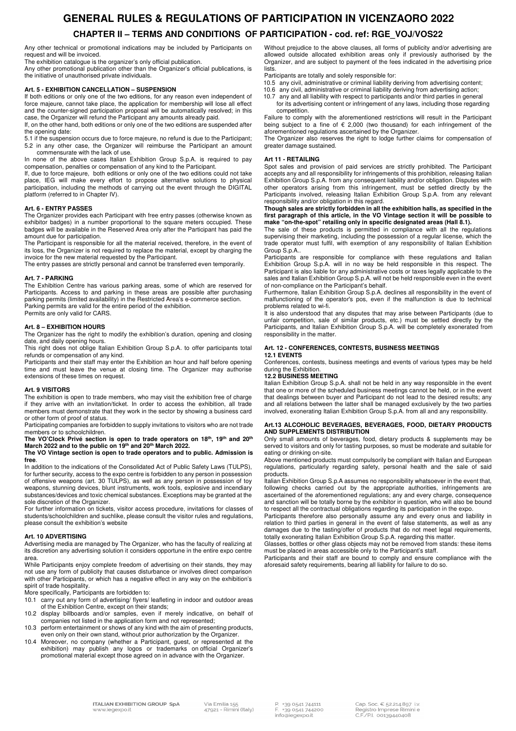## **GENERAL RULES & REGULATIONS OF PARTICIPATION IN VICENZAORO 2022 CHAPTER II – TERMS AND CONDITIONS OF PARTICIPATION - cod. ref: RGE\_VOJ/VOS22**

Any other technical or promotional indications may be included by Participants on request and will be invoiced.

The exhibition catalogue is the organizer's only official publication.

Any other promotional publication other than the Organizer's official publications, is the initiative of unauthorised private individuals.

#### **Art. 5 - EXHIBITION CANCELLATION – SUSPENSION**

If both editions or only one of the two editions, for any reason even independent of force majeure, cannot take place, the application for membership will lose all effect and the counter-signed participation proposal will be automatically resolved; in this case, the Organizer will refund the Participant any amounts already paid.

If, on the other hand, both editions or only one of the two editions are suspended after the opening date:

5.1 if the suspension occurs due to force majeure, no refund is due to the Participant; 5.2 in any other case, the Organizer will reimburse the Participant an amount commensurate with the lack of use.

In none of the above cases Italian Exhibition Group S.p.A. is required to pay compensation, penalties or compensation of any kind to the Participant.

If, due to force majeure, both editions or only one of the two editions could not take place, IEG will make every effort to propose alternative solutions to physical participation, including the methods of carrying out the event through the DIGITAL platform (referred to in Chapter IV).

#### **Art. 6 - ENTRY PASSES**

The Organizer provides each Participant with free entry passes (otherwise known as exhibitor badges) in a number proportional to the square meters occupied. These badges will be available in the Reserved Area only after the Participant has paid the amount due for participation.

The Participant is responsible for all the material received, therefore, in the event of its loss, the Organizer is not required to replace the material, except by charging the invoice for the new material requested by the Participant.

The entry passes are strictly personal and cannot be transferred even temporarily.

#### **Art. 7 - PARKING**

The Exhibition Centre has various parking areas, some of which are reserved for Participants. Access to and parking in these areas are possible after purchasing parking permits (limited availability) in the Restricted Area's e-commerce section. Parking permits are valid for the entire period of the exhibition.

Permits are only valid for CARS.

#### **Art. 8 – EXHIBITION HOURS**

The Organizer has the right to modify the exhibition's duration, opening and closing date, and daily opening hours.

This right does not oblige Italian Exhibition Group S.p.A. to offer participants total refunds or compensation of any kind.

Participants and their staff may enter the Exhibition an hour and half before opening time and must leave the venue at closing time. The Organizer may authorise extensions of these times on request.

#### **Art. 9 VISITORS**

The exhibition is open to trade members, who may visit the exhibition free of charge if they arrive with an invitation/ticket. In order to access the exhibition, all trade members must demonstrate that they work in the sector by showing a business card or other form of proof of status.

Participating companies are forbidden to supply invitations to visitors who are not trade members or to schoolchildren.

**The VO'Clock Privé section is open to trade operators on 18th, 19th and 20th March 2022 and to the public on 19th and 20th March 2022.** 

**The VO Vintage section is open to trade operators and to public. Admission is free**.

In addition to the indications of the Consolidated Act of Public Safety Laws (TULPS), for further security, access to the expo centre is forbidden to any person in possession of offensive weapons (art. 30 TULPS), as well as any person in possession of toy weapons, stunning devices, blunt instruments, work tools, explosive and incendiary substances/devices and toxic chemical substances. Exceptions may be granted at the sole discretion of the Organizer.

For further information on tickets, visitor access procedure, invitations for classes of students/schoolchildren and suchlike, please consult the visitor rules and regulations, please consult the exhibition's website

#### **Art. 10 ADVERTISING**

Advertising media are managed by The Organizer, who has the faculty of realizing at its discretion any advertising solution it considers opportune in the entire expo centre area.

While Participants enjoy complete freedom of advertising on their stands, they may not use any form of publicity that causes disturbance or involves direct comparison with other Participants, or which has a negative effect in any way on the exhibition's spirit of trade hospitality.

More specifically, Participants are forbidden to:<br>10.1 carry out any form of advertising/fivers/

- carry out any form of advertising/ flyers/ leafleting in indoor and outdoor areas of the Exhibition Centre, except on their stands;
- 10.2 display billboards and/or samples, even if merely indicative, on behalf of companies not listed in the application form and not represented;
- 10.3 perform entertainment or shows of any kind with the aim of presenting products, even only on their own stand, without prior authorization by the Organizer.
- 10.4 Moreover, no company (whether a Participant, guest, or represented at the exhibition) may publish any logos or trademarks on official Organizer's promotional material except those agreed on in advance with the Organizer.

Without prejudice to the above clauses, all forms of publicity and/or advertising are allowed outside allocated exhibition areas only if previously authorised by the Organizer, and are subject to payment of the fees indicated in the advertising price lists.

- Participants are totally and solely responsible for:
- 10.5 any civil, administrative or criminal liability deriving from advertising content;
- 10.6 any civil, administrative or criminal liability deriving from advertising action;
- 10.7 any and all liability with respect to participants and/or third parties in general for its advertising content or infringement of any laws, including those regarding competition.

Failure to comply with the aforementioned restrictions will result in the Participant being subject to a fine of  $\epsilon$  2,000 (two thousand) for each infringement of the aforementioned regulations ascertained by the Organizer.

The Organizer also reserves the right to lodge further claims for compensation of greater damage sustained.

#### **Art 11 - RETAILING**

Spot sales and provision of paid services are strictly prohibited. The Participant accepts any and all responsibility for infringements of this prohibition, releasing Italian Exhibition Group S.p.A. from any consequent liability and/or obligation. Disputes with other operators arising from this infringement, must be settled directly by the Participants involved, releasing Italian Exhibition Group S.p.A. from any relevant

#### responsibility and/or obligation in this regard. **Though sales are strictly forbidden in all the exhibition halls, as specified in the first paragraph of this article, in the VO Vintage section it will be possible to**  make "on-the-spot" retailing only in specific designated areas (Hall 8.1).

The sale of these products is permitted in compliance with all the regulations supervising their marketing, including the possession of a regular license, which the trade operator must fulfil, with exemption of any responsibility of Italian Exhibition Group S.p.A..

Participants are responsible for compliance with these regulations and Italian Exhibition Group S.p.A. will in no way be held responsible in this respect. The Participant is also liable for any administrative costs or taxes legally applicable to the sales and Italian Exhibition Group S.p.A. will not be held responsible even in the event of non-compliance on the Participant's behalf.

Furthermore, Italian Exhibition Group S.p.A. declines all responsibility in the event of malfunctioning of the operator's pos, even if the malfunction is due to technical problems related to wi-fi.

It is also understood that any disputes that may arise between Participants (due to unfair competition, sale of similar products, etc.) must be settled directly by the Participants, and Italian Exhibition Group S.p.A. will be completely exonerated from responsibility in the matter.

### **Art. 12 - CONFERENCES, CONTESTS, BUSINESS MEETINGS**

#### **12.1 EVENTS**

Conferences, contests, business meetings and events of various types may be held during the Exhibition.

### **12.2 BUSINESS MEETING**

Italian Exhibition Group S.p.A. shall not be held in any way responsible in the event that one or more of the scheduled business meetings cannot be held, or in the event that dealings between buyer and Participant do not lead to the desired results; any and all relations between the latter shall be managed exclusively by the two parties involved, exonerating Italian Exhibition Group S.p.A. from all and any responsibility.

#### **Art.13 ALCOHOLIC BEVERAGES, BEVERAGES, FOOD, DIETARY PRODUCTS AND SUPPLEMENTS DISTRIBUTION**

Only small amounts of beverages, food, dietary products & supplements may be served to visitors and only for tasting purposes, so must be moderate and suitable for eating or drinking on-site.

Above mentioned products must compulsorily be compliant with Italian and European regulations, particularly regarding safety, personal health and the sale of said products.

Italian Exhibition Group S.p.A assumes no responsibility whatsoever in the event that, following checks carried out by the appropriate authorities, infringements are ascertained of the aforementioned regulations; any and every charge, consequence and sanction will be totally borne by the exhibitor in question, who will also be bound to respect all the contractual obligations regarding its participation in the expo.

Participants therefore also personally assume any and every onus and liability in relation to third parties in general in the event of false statements, as well as any damages due to the tasting/offer of products that do not meet legal requirements, totally exonerating Italian Exhibition Group S.p.A. regarding this matter.

Glasses, bottles or other glass objects may not be removed from stands: these items must be placed in areas accessible only to the Participant's staff.

Participants and their staff are bound to comply and ensure compliance with the aforesaid safety requirements, bearing all liability for failure to do so.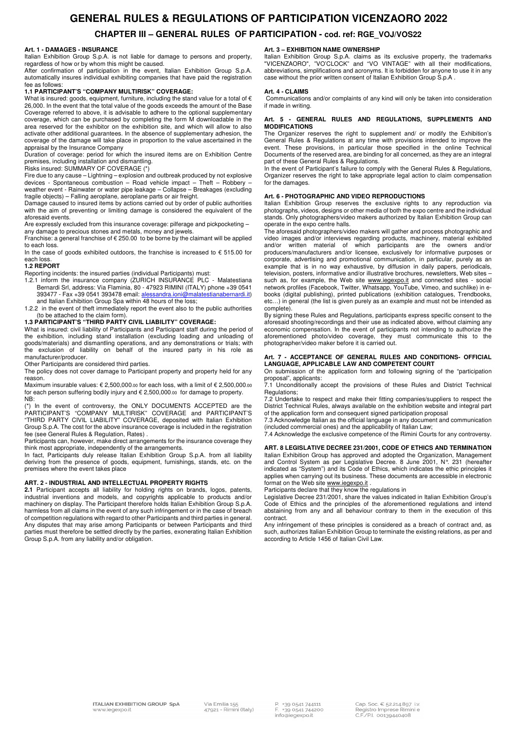## **GENERAL RULES & REGULATIONS OF PARTICIPATION VICENZAORO 2022 CHAPTER III – GENERAL RULES OF PARTICIPATION - cod. ref: RGE\_VOJ/VOS22**

#### **Art. 1 - DAMAGES - INSURANCE**

Italian Exhibition Group S.p.A. is not liable for damage to persons and property, regardless of how or by whom this might be caused.

After confirmation of participation in the event, Italian Exhibition Group S.p.A. automatically insures individual exhibiting companies that have paid the registration fee as follows:

#### **1.1 PARTICIPANT'S "COMPANY MULTIRISK" COVERAGE:**

What is insured: goods, equipment, furniture, including the stand value for a total of  $\epsilon$ 26,000. In the event that the total value of the goods exceeds the amount of the Base Coverage referred to above, it is advisable to adhere to the optional supplementary coverage, which can be purchased by completing the form M downloadable in the area reserved for the exhibitor on the exhibition site, and which will allow to also activate other additional guarantees. In the absence of supplementary adhesion, the coverage of the damage will take place in proportion to the value ascertained in the appraisal by the Insurance Company

Duration of coverage: period for which the insured items are on Exhibition Centre premises, including installation and dismantling.

Risks insured: SUMMARY OF COVERAGE (\*)

Fire due to any cause – Lightning – explosion and outbreak produced by not explosive devices - Spontaneous combustion – Road vehicle impact – Theft – Robbery – weather event - Rainwater or water pipe leakage – Collapse – Breakages (excluding fragile objects) – Falling aeroplane, aeroplane parts or air freight.

Damage caused to insured items by actions carried out by order of public authorities with the aim of preventing or limiting damage is considered the equivalent of the aforesaid events.

Are expressly excluded from this insurance coverage: pilferage and pickpocketing – any damage to precious stones and metals, money and jewels.

Franchise: a general franchise of  $\epsilon$  250.00 to be borne by the claimant will be applied to each loss.

In the case of goods exhibited outdoors, the franchise is increased to  $\epsilon$  515.00 for each loss.

#### **1.2 REPORT**

Reporting incidents: the insured parties (individual Participants) must:

- 1.2.1 inform the insurance company (ZURICH INSURANCE PLC Malatestiana Bernardi Srl, address: Via Flaminia, 80 - 47923 RIMINI (ITALY) phone +39 0541 393477 - Fax +39 0541 393478 email: alessandra.ioni@malatestianabernardi.it) and Italian Exhibition Group Spa within 48 hours of the loss;
- 1.2.2 in the event of theft immediately report the event also to the public authorities

## (to be attached to the claim form). **1.3 PARTICIPANT'S "THIRD PARTY CIVIL LIABILITY" COVERAGE:**

What is insured: civil liability of Participants and Participant staff during the period of the exhibition, including stand installation (excluding loading and unloading of goods/materials) and dismantling operations, and any demonstrations or trials; with the exclusion of liability on behalf of the insured party in his role as manufacturer/producer.

Other Participants are considered third parties.

The policy does not cover damage to Participant property and property held for any reason. Maximum insurable values: € 2,500,000.00 for each loss, with a limit of € 2,500,000.00

for each person suffering bodily injury and € 2,500,000.00 for damage to property. NB:

(\*) In the event of controversy, the ONLY DOCUMENTS ACCEPTED are the PARTICIPANT'S "COMPANY MULTIRISK" COVERAGE and PARTICIPANT'S "THIRD PARTY CIVIL LIABILITY" COVERAGE, deposited with Italian Exhibition Group S.p.A. The cost for the above insurance coverage is included in the registration fee (see General Rules & Regulation, Rates) .

Participants can, however, make direct arrangements for the insurance coverage they think most appropriate, independently of the arrangements.

In fact, Participants duly release Italian Exhibition Group S.p.A. from all liability deriving from the presence of goods, equipment, furnishings, stands, etc. on the premises where the event takes place

#### **ART. 2 - INDUSTRIAL AND INTELLECTUAL PROPERTY RIGHTS**

**2.1** Participant accepts all liability for holding rights on brands, logos, patents, industrial inventions and models, and copyrights applicable to products and/or machinery on display. The Participant therefore holds Italian Exhibition Group S.p.A. harmless from all claims in the event of any such infringement or in the case of breach of competition regulations with regard to other Participants and third parties in general. Any disputes that may arise among Participants or between Participants and third parties must therefore be settled directly by the parties, exonerating Italian Exhibition Group S.p.A. from any liability and/or obligation.

#### **Art. 3 – EXHIBITION NAME OWNERSHIP**

Italian Exhibition Group S.p.A. claims as its exclusive property, the trademarks "VICENZAORO", "VO'CLOCK" and "VO VINTAGE" with all their modifications, abbreviations, simplifications and acronyms. It is forbidden for anyone to use it in any case without the prior written consent of Italian Exhibition Group S.p.A .

#### **Art. 4 - CLAIMS**

 Communications and/or complaints of any kind will only be taken into consideration if made in writing.

#### **Art. 5 - GENERAL RULES AND REGULATIONS, SUPPLEMENTS AND MODIFICATIONS**

The Organizer reserves the right to supplement and/ or modify the Exhibition's General Rules & Regulations at any time with provisions intended to improve the event. These provisions, in particular those specified in the online Technical Documents of the reserved area, are binding for all concerned, as they are an integral part of these General Rules & Regulations.

In the event of Participant's failure to comply with the General Rules & Regulations, Organizer reserves the right to take appropriate legal action to claim compensation for the damages.

#### **Art. 6 - PHOTOGRAPHIC AND VIDEO REPRODUCTIONS**

Italian Exhibition Group reserves the exclusive rights to any reproduction via photographs, videos, designs or other media of both the expo centre and the individual stands. Only photographers/video makers authorized by Italian Exhibition Group can operate in the expo centre halls.

The aforesaid photographers/video makers will gather and process photographic and video images and/or interviews regarding products, machinery, material exhibited and/or written material of which participants are the owners and/or producers/manufacturers and/or licensee, exclusively for informative purposes or corporate, advertising and promotional communication, in particular, purely as an example that is in no way exhaustive, by diffusion in daily papers, periodicals, television, posters, informative and/or illustrative brochures, newsletters, Web sites – such as, for example, the Web site www.iegexpo.it and connected sites - social network profiles (Facebook, Twitter, Whatsapp, YouTube, Vimeo, and suchlike) in ebooks (digital publishing), printed publications (exhibition catalogues, Trendbooks, etc…) in general (the list is given purely as an example and must not be intended as complete).

By signing these Rules and Regulations, participants express specific consent to the aforesaid shooting/recordings and their use as indicated above, without claiming any economic compensation. In the event of participants not intending to authorize the aforementioned photo/video coverage, they must communicate this to the photographer/video maker before it is carried out.

#### **Art. 7 - ACCEPTANCE OF GENERAL RULES AND CONDITIONS- OFFICIAL LANGUAGE, APPLICABLE LAW AND COMPETENT COURT**

On submission of the application form and following signing of the "participation proposal", applicants:

7.1 Unconditionally accept the provisions of these Rules and District Technical Regulations;

7.2 Undertake to respect and make their fitting companies/suppliers to respect the District Technical Rules, always available on the exhibition website and integral part of the application form and consequent signed participation proposal

7.3 Acknowledge Italian as the official language in any document and communication (included commercial ones) and the applicability of Italian Law;

7.4 Acknowledge the exclusive competence of the Rimini Courts for any controversy.

**ART. 8 LEGISLATIVE DECREE 231/2001, CODE OF ETHICS AND TERMINATION**  Italian Exhibition Group has approved and adopted the Organization, Management and Control System as per Legislative Decree. 8 June 2001, N°. 231 (hereafter indicated as "System") and its Code of Ethics, which indicates the ethic principles it applies when carrying out its business. These documents are accessible in electronic format on the Web site www.iegexpo.it.

Participants declare that they know the regulations in

Legislative Decree 231/2001, share the values indicated in Italian Exhibition Group's Code of Ethics and the principles of the aforementioned regulations and intend abstaining from any and all behaviour contrary to them in the execution of this contract.

Any infringement of these principles is considered as a breach of contract and, as such, authorizes Italian Exhibition Group to terminate the existing relations, as per and according to Article 1456 of Italian Civil Law.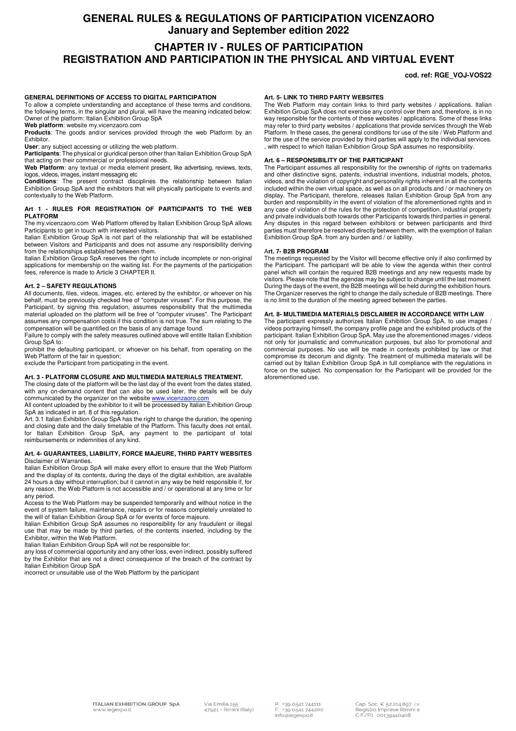## **GENERAL RULES & REGULATIONS OF PARTICIPATION VICENZAORO January and September edition 2022**

## **CHAPTER IV - RULES OF PARTICIPATION REGISTRATION AND PARTICIPATION IN THE PHYSICAL AND VIRTUAL EVENT**

#### **cod. ref: RGE\_VOJ-VOS22**

#### **GENERAL DEFINITIONS OF ACCESS TO DIGITAL PARTICIPATION**

To allow a complete understanding and acceptance of these terms and conditions, the following terms, in the singular and plural, will have the meaning indicated below: Owner of the platform: Italian Exhibition Group SpA

**Web platform**: website my.vicenzaoro.com

**Products**: The goods and/or services provided through the web Platform by an Exhibitor.

**User**: any subject accessing or utilizing the web platform.

**Participants**: The physical or giuridical person other than Italian Exhibition Group SpA that acting on their commercial or professional needs.

**Web Platform**: any textual or media element present, like advertising, reviews, texts, logos, videos, images, instant messaging etc

**Conditions**: The present contract disciplines the relationship between Italian Exhibition Group SpA and the exhibitors that will physically participate to events and contextually to the Web Platform.

#### **Art 1 - RULES FOR REGISTRATION OF PARTICIPANTS TO THE WEB PLATFORM**

The my.vicenzaoro.com Web Platform offered by Italian Exhibition Group SpA allows Participants to get in touch with interested visitors.

Italian Exhibition Group SpA is not part of the relationship that will be established between Visitors and Participants and does not assume any responsibility deriving from the relationships established between them.

Italian Exhibition Group SpA reserves the right to include incomplete or non-original applications for membership on the waiting list. For the payments of the participation fees, reference is made to Article 3 CHAPTER II.

#### **Art. 2 – SAFETY REGULATIONS**

All documents, files, videos, images, etc. entered by the exhibitor, or whoever on his behalf, must be previously checked free of "computer viruses". For this purpose, the Participant, by signing this regulation, assumes responsibility that the multimedia material uploaded on the platform will be free of "computer viruses". The Participant assumes any compensation costs if this condition is not true. The sum relating to the compensation will be quantified on the basis of any damage found.

Failure to comply with the safety measures outlined above will entitle Italian Exhibition Group SpA to:

prohibit the defaulting participant, or whoever on his behalf, from operating on the Web Platform of the fair in question;

exclude the Participant from participating in the event.

#### **Art. 3 - PLATFORM CLOSURE AND MULTIMEDIA MATERIALS TREATMENT.**

The closing date of the platform will be the last day of the event from the dates stated, with any on-demand content that can also be used later, the details will be duly communicated by the organizer on the website www.vicenzaoro.com

All content uploaded by the exhibitor to it will be processed by Italian Exhibition Group SpA as indicated in art. 8 of this regulation.

Art. 3.1 Italian Exhibition Group SpA has the right to change the duration, the opening and closing date and the daily timetable of the Platform. This faculty does not entail, for Italian Exhibition Group SpA, any payment to the participant of total reimbursements or indemnities of any kind.

#### **Art. 4- GUARANTEES, LIABILITY, FORCE MAJEURE, THIRD PARTY WEBSITES** Disclaimer of Warranties.

Italian Exhibition Group SpA will make every effort to ensure that the Web Platform and the display of its contents, during the days of the digital exhibition, are available 24 hours a day without interruption; but it cannot in any way be held responsible if, for any reason, the Web Platform is not accessible and / or operational at any time or for any period.

Access to the Web Platform may be suspended temporarily and without notice in the event of system failure, maintenance, repairs or for reasons completely unrelated to the will of Italian Exhibition Group SpA or for events of force majeure.

Italian Exhibition Group SpA assumes no responsibility for any fraudulent or illegal use that may be made by third parties, of the contents inserted, including by the Exhibitor, within the Web Platform.

Italian Italian Exhibition Group SpA will not be responsible for:

any loss of commercial opportunity and any other loss, even indirect, possibly suffered by the Exhibitor that are not a direct consequence of the breach of the contract by Italian Exhibition Group SpA

incorrect or unsuitable use of the Web Platform by the participant

#### **Art. 5- LINK TO THIRD PARTY WEBSITES**

The Web Platform may contain links to third party websites / applications. Italian Exhibition Group SpA does not exercise any control over them and, therefore, is in no way responsible for the contents of these websites / applications. Some of these links may refer to third party websites / applications that provide services through the Web Platform. In these cases, the general conditions for use of the site / Web Platform and for the use of the service provided by third parties will apply to the individual services. , with respect to which Italian Exhibition Group SpA assumes no responsibility.

#### **Art. 6 – RESPONSIBILITY OF THE PARTICIPANT**

The Participant assumes all responsibility for the ownership of rights on trademarks and other distinctive signs, patents, industrial inventions, industrial models, photos, videos, and the violation of copyright and personality rights inherent in all the contents included within the own virtual space, as well as on all products and / or machinery on display. The Participant, therefore, releases Italian Exhibition Group SpA from any burden and responsibility in the event of violation of the aforementioned rights and in any case of violation of the rules for the protection of competition, industrial property and private individuals both towards other Participants towards third parties in general. Any disputes in this regard between exhibitors or between participants and third parties must therefore be resolved directly between them, with the exemption of Italian Exhibition Group SpA. from any burden and / or liability.

#### A**rt. 7- B2B PROGRAM**

The meetings requested by the Visitor will become effective only if also confirmed by the Participant. The participant will be able to view the agenda within their control panel which will contain the required B2B meetings and any new requests made by visitors. Please note that the agendas may be subject to change until the last moment. During the days of the event, the B2B meetings will be held during the exhibition hours. The Organizer reserves the right to change the daily schedule of B2B meetings. There is no limit to the duration of the meeting agreed between the parties.

#### **Art. 8- MULTIMEDIA MATERIALS DISCLAIMER IN ACCORDANCE WITH LAW**

The participant expressly authorizes Italian Exhibition Group SpA, to use images / videos portraying himself, the company profile page and the exhibited products of the participant. Italian Exhibition Group SpA. May use the aforementioned images / videos not only for journalistic and communication purposes, but also for promotional and commercial purposes. No use will be made in contexts prohibited by law or that compromise its decorum and dignity. The treatment of multimedia materials will be carried out by Italian Exhibition Group SpA in full compliance with the regulations in force on the subject. No compensation for the Participant will be provided for the aforementioned use.